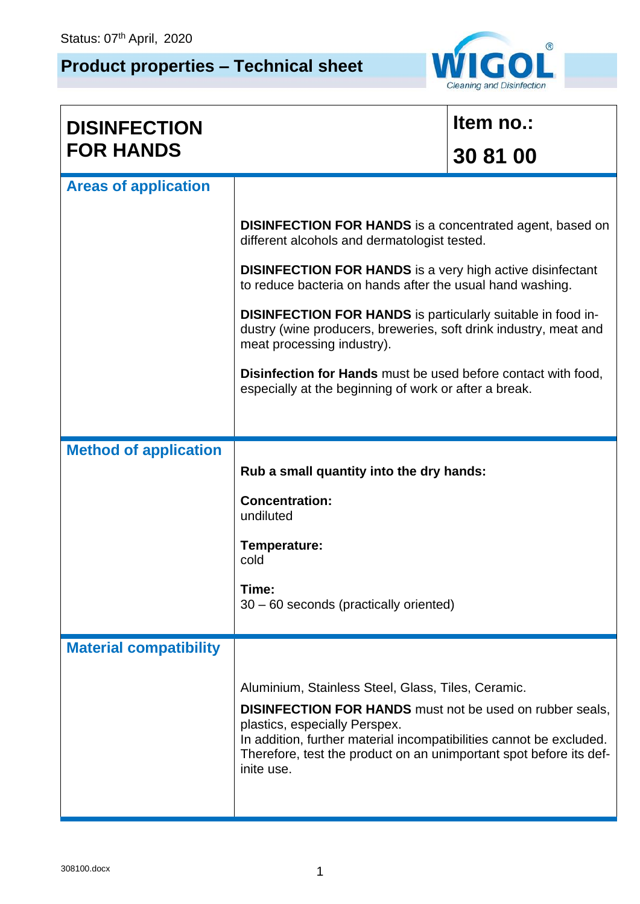## **Product properties – Technical sheet**



| <b>DISINFECTION</b>           |                                                                                                                                                                                                                                                                                                                   | Item no.: |  |  |  |  |  |
|-------------------------------|-------------------------------------------------------------------------------------------------------------------------------------------------------------------------------------------------------------------------------------------------------------------------------------------------------------------|-----------|--|--|--|--|--|
| <b>FOR HANDS</b>              |                                                                                                                                                                                                                                                                                                                   | 30 81 00  |  |  |  |  |  |
| <b>Areas of application</b>   |                                                                                                                                                                                                                                                                                                                   |           |  |  |  |  |  |
|                               | <b>DISINFECTION FOR HANDS</b> is a concentrated agent, based on<br>different alcohols and dermatologist tested.                                                                                                                                                                                                   |           |  |  |  |  |  |
|                               | <b>DISINFECTION FOR HANDS</b> is a very high active disinfectant<br>to reduce bacteria on hands after the usual hand washing.                                                                                                                                                                                     |           |  |  |  |  |  |
|                               | <b>DISINFECTION FOR HANDS</b> is particularly suitable in food in-<br>dustry (wine producers, breweries, soft drink industry, meat and<br>meat processing industry).                                                                                                                                              |           |  |  |  |  |  |
|                               | <b>Disinfection for Hands</b> must be used before contact with food,<br>especially at the beginning of work or after a break.                                                                                                                                                                                     |           |  |  |  |  |  |
|                               |                                                                                                                                                                                                                                                                                                                   |           |  |  |  |  |  |
| <b>Method of application</b>  | Rub a small quantity into the dry hands:                                                                                                                                                                                                                                                                          |           |  |  |  |  |  |
|                               | <b>Concentration:</b><br>undiluted                                                                                                                                                                                                                                                                                |           |  |  |  |  |  |
|                               | Temperature:<br>cold                                                                                                                                                                                                                                                                                              |           |  |  |  |  |  |
|                               | Time:<br>30 - 60 seconds (practically oriented)                                                                                                                                                                                                                                                                   |           |  |  |  |  |  |
| <b>Material compatibility</b> |                                                                                                                                                                                                                                                                                                                   |           |  |  |  |  |  |
|                               | Aluminium, Stainless Steel, Glass, Tiles, Ceramic.<br><b>DISINFECTION FOR HANDS</b> must not be used on rubber seals,<br>plastics, especially Perspex.<br>In addition, further material incompatibilities cannot be excluded.<br>Therefore, test the product on an unimportant spot before its def-<br>inite use. |           |  |  |  |  |  |